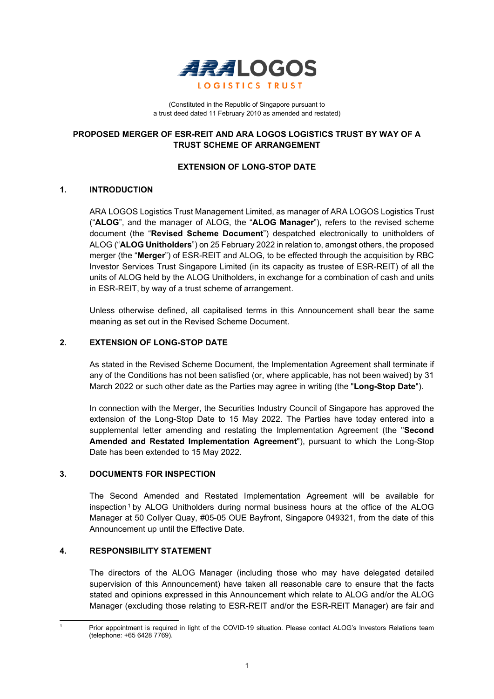

(Constituted in the Republic of Singapore pursuant to a trust deed dated 11 February 2010 as amended and restated)

# **PROPOSED MERGER OF ESR-REIT AND ARA LOGOS LOGISTICS TRUST BY WAY OF A TRUST SCHEME OF ARRANGEMENT**

# **EXTENSION OF LONG-STOP DATE**

## **1. INTRODUCTION**

ARA LOGOS Logistics Trust Management Limited, as manager of ARA LOGOS Logistics Trust ("**ALOG**", and the manager of ALOG, the "**ALOG Manager**"), refers to the revised scheme document (the "**Revised Scheme Document**") despatched electronically to unitholders of ALOG ("**ALOG Unitholders**") on 25 February 2022 in relation to, amongst others, the proposed merger (the "**Merger**") of ESR-REIT and ALOG, to be effected through the acquisition by RBC Investor Services Trust Singapore Limited (in its capacity as trustee of ESR-REIT) of all the units of ALOG held by the ALOG Unitholders, in exchange for a combination of cash and units in ESR-REIT, by way of a trust scheme of arrangement.

Unless otherwise defined, all capitalised terms in this Announcement shall bear the same meaning as set out in the Revised Scheme Document.

#### **2. EXTENSION OF LONG-STOP DATE**

As stated in the Revised Scheme Document, the Implementation Agreement shall terminate if any of the Conditions has not been satisfied (or, where applicable, has not been waived) by 31 March 2022 or such other date as the Parties may agree in writing (the "**Long-Stop Date**").

In connection with the Merger, the Securities Industry Council of Singapore has approved the extension of the Long-Stop Date to 15 May 2022. The Parties have today entered into a supplemental letter amending and restating the Implementation Agreement (the "**Second Amended and Restated Implementation Agreement**"), pursuant to which the Long-Stop Date has been extended to 15 May 2022.

## **3. DOCUMENTS FOR INSPECTION**

The Second Amended and Restated Implementation Agreement will be available for  $inspection<sup>1</sup>$  $inspection<sup>1</sup>$  $inspection<sup>1</sup>$  by ALOG Unitholders during normal business hours at the office of the ALOG Manager at 50 Collyer Quay, #05-05 OUE Bayfront, Singapore 049321, from the date of this Announcement up until the Effective Date.

## **4. RESPONSIBILITY STATEMENT**

The directors of the ALOG Manager (including those who may have delegated detailed supervision of this Announcement) have taken all reasonable care to ensure that the facts stated and opinions expressed in this Announcement which relate to ALOG and/or the ALOG Manager (excluding those relating to ESR-REIT and/or the ESR-REIT Manager) are fair and

<span id="page-0-0"></span>Prior appointment is required in light of the COVID-19 situation. Please contact ALOG's Investors Relations team (telephone: +65 6428 7769).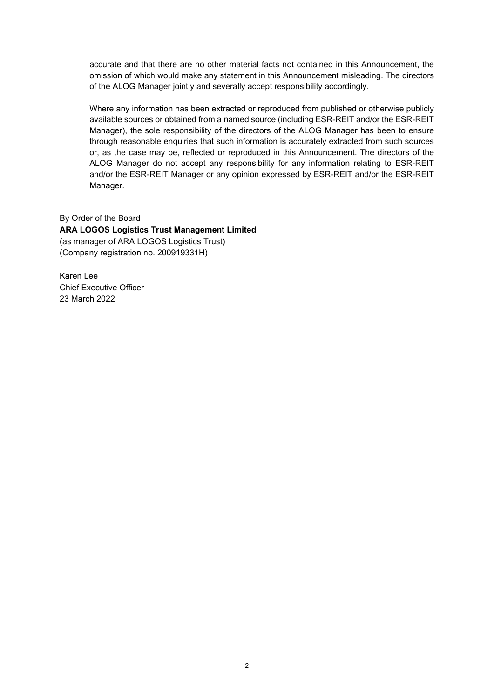accurate and that there are no other material facts not contained in this Announcement, the omission of which would make any statement in this Announcement misleading. The directors of the ALOG Manager jointly and severally accept responsibility accordingly.

Where any information has been extracted or reproduced from published or otherwise publicly available sources or obtained from a named source (including ESR-REIT and/or the ESR-REIT Manager), the sole responsibility of the directors of the ALOG Manager has been to ensure through reasonable enquiries that such information is accurately extracted from such sources or, as the case may be, reflected or reproduced in this Announcement. The directors of the ALOG Manager do not accept any responsibility for any information relating to ESR-REIT and/or the ESR-REIT Manager or any opinion expressed by ESR-REIT and/or the ESR-REIT Manager.

By Order of the Board **ARA LOGOS Logistics Trust Management Limited**  (as manager of ARA LOGOS Logistics Trust) (Company registration no. 200919331H)

Karen Lee Chief Executive Officer 23 March 2022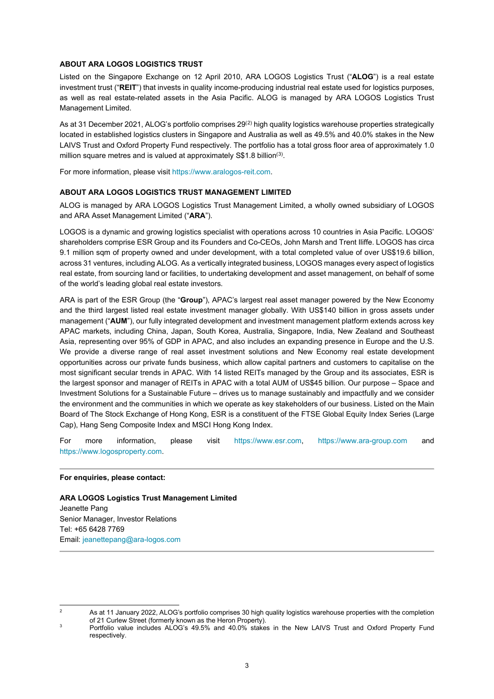#### **ABOUT ARA LOGOS LOGISTICS TRUST**

Listed on the Singapore Exchange on 12 April 2010, ARA LOGOS Logistics Trust ("**ALOG**") is a real estate investment trust ("**REIT**") that invests in quality income-producing industrial real estate used for logistics purposes, as well as real estate-related assets in the Asia Pacific. ALOG is managed by ARA LOGOS Logistics Trust Management Limited.

As at 31 December 2021, ALOG's portfolio comprises  $29<sup>(2)</sup>$  $29<sup>(2)</sup>$  $29<sup>(2)</sup>$  high quality logistics warehouse properties strategically located in established logistics clusters in Singapore and Australia as well as 49.5% and 40.0% stakes in the New LAIVS Trust and Oxford Property Fund respectively. The portfolio has a total gross floor area of approximately 1.0 million square metres and is valued at approximately S\$1.8 billion<sup>([3](#page-2-1))</sup>.

For more information, please visit https://www.aralogos-reit.com.

#### **ABOUT ARA LOGOS LOGISTICS TRUST MANAGEMENT LIMITED**

ALOG is managed by ARA LOGOS Logistics Trust Management Limited, a wholly owned subsidiary of LOGOS and ARA Asset Management Limited ("**ARA**").

LOGOS is a dynamic and growing logistics specialist with operations across 10 countries in Asia Pacific. LOGOS' shareholders comprise ESR Group and its Founders and Co-CEOs, John Marsh and Trent Iliffe. LOGOS has circa 9.1 million sqm of property owned and under development, with a total completed value of over US\$19.6 billion, across 31 ventures, including ALOG. As a vertically integrated business, LOGOS manages every aspect of logistics real estate, from sourcing land or facilities, to undertaking development and asset management, on behalf of some of the world's leading global real estate investors.

ARA is part of the ESR Group (the "**Group**"), APAC's largest real asset manager powered by the New Economy and the third largest listed real estate investment manager globally. With US\$140 billion in gross assets under management ("**AUM**"), our fully integrated development and investment management platform extends across key APAC markets, including China, Japan, South Korea, Australia, Singapore, India, New Zealand and Southeast Asia, representing over 95% of GDP in APAC, and also includes an expanding presence in Europe and the U.S. We provide a diverse range of real asset investment solutions and New Economy real estate development opportunities across our private funds business, which allow capital partners and customers to capitalise on the most significant secular trends in APAC. With 14 listed REITs managed by the Group and its associates, ESR is the largest sponsor and manager of REITs in APAC with a total AUM of US\$45 billion. Our purpose – Space and Investment Solutions for a Sustainable Future – drives us to manage sustainably and impactfully and we consider the environment and the communities in which we operate as key stakeholders of our business. Listed on the Main Board of The Stock Exchange of Hong Kong, ESR is a constituent of the FTSE Global Equity Index Series (Large Cap), Hang Seng Composite Index and MSCI Hong Kong Index.

For more information, please visit [https://www.esr.com,](https://www.esr.com/) [https://www.ara-group.com](https://www.ara-group.com/) and [https://www.logosproperty.com.](https://www.logosproperty.com/)

#### **For enquiries, please contact:**

**ARA LOGOS Logistics Trust Management Limited** Jeanette Pang Senior Manager, Investor Relations Tel: +65 6428 7769 Email[: jeanettepang@ara-logos.com](mailto:jeanettepang@ara-logos.com)

<span id="page-2-0"></span><sup>2</sup> As at 11 January 2022, ALOG's portfolio comprises 30 high quality logistics warehouse properties with the completion of 21 Curlew Street (formerly known as the Heron Property).

<span id="page-2-1"></span>Portfolio value includes ALOG's 49.5% and 40.0% stakes in the New LAIVS Trust and Oxford Property Fund respectively.